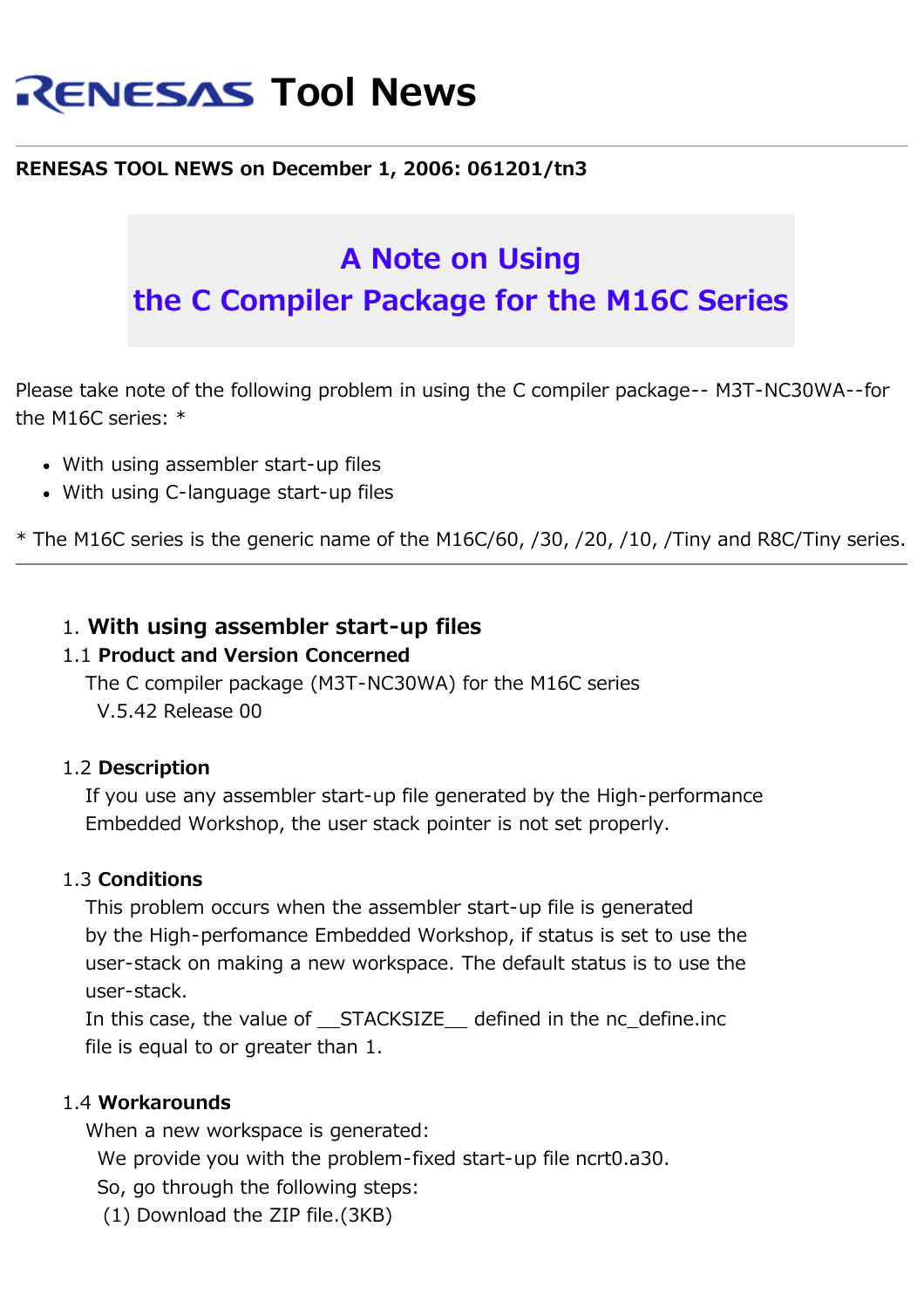# **RENESAS Tool News**

# **RENESAS TOOL NEWS on December 1, 2006: 061201/tn3**

# **A Note on Using the C Compiler Package for the M16C Series**

Please take note of the following problem in using the C compiler package-- M3T-NC30WA--for the M16C series: \*

- With using assembler start-up files
- With using C-language start-up files

\* The M16C series is the generic name of the M16C/60, /30, /20, /10, /Tiny and R8C/Tiny series.

# 1. **With using assembler start-up files**

#### 1.1 **Product and Version Concerned**

 The C compiler package (M3T-NC30WA) for the M16C series V.5.42 Release 00

#### 1.2 **Description**

 If you use any assembler start-up file generated by the High-performance Embedded Workshop, the user stack pointer is not set properly.

#### 1.3 **Conditions**

 This problem occurs when the assembler start-up file is generated by the High-perfomance Embedded Workshop, if status is set to use the user-stack on making a new workspace. The default status is to use the user-stack.

In this case, the value of STACKSIZE defined in the nc define.inc file is equal to or greater than 1.

## 1.4 **Workarounds**

When a new workspace is generated:

We provide you with the problem-fixed start-up file ncrt0.a30.

So, go through the following steps:

(1) Download the ZIP file.(3KB)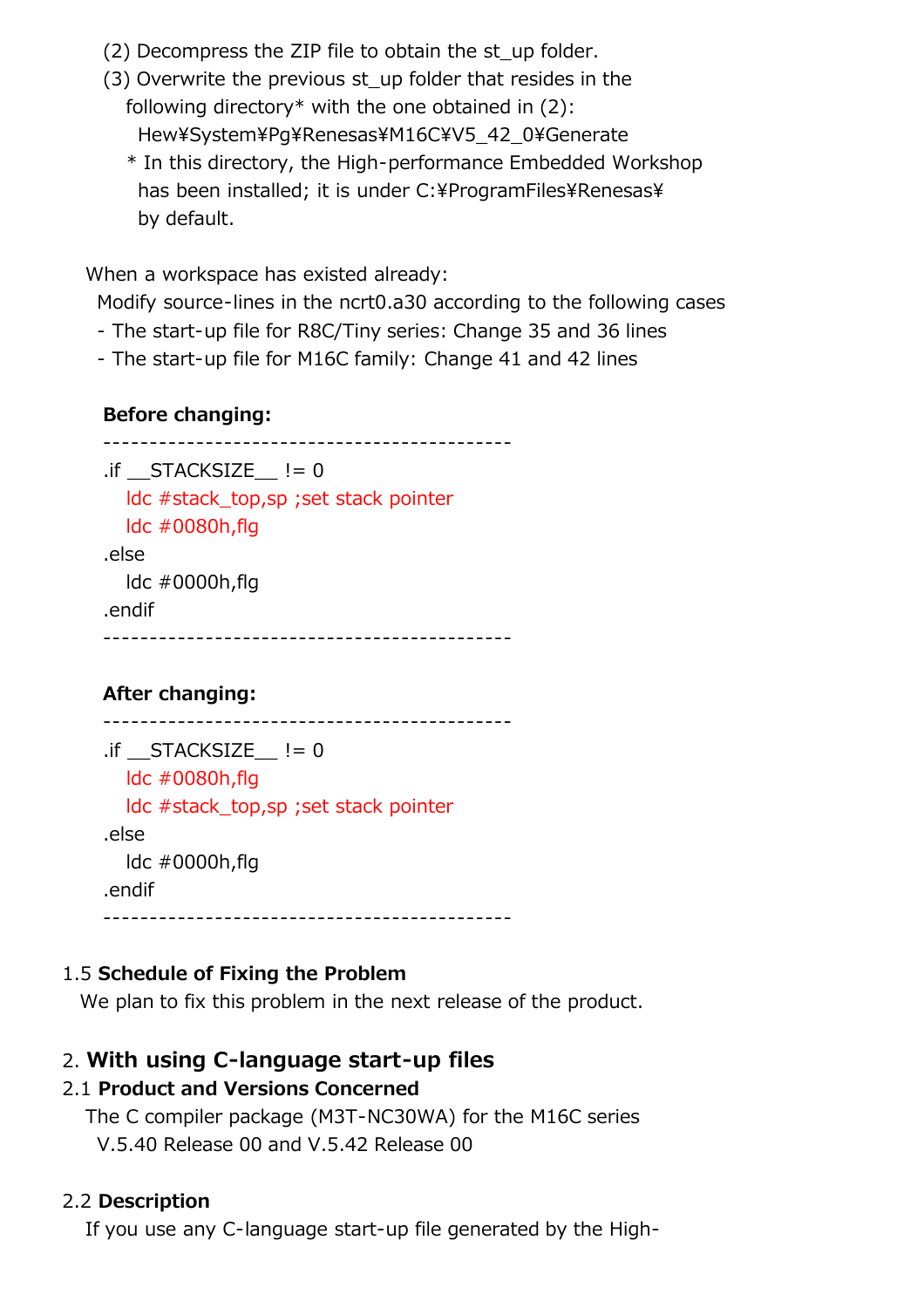- (2) Decompress the ZIP file to obtain the st\_up folder.
- (3) Overwrite the previous st\_up folder that resides in the following directory\* with the one obtained in  $(2)$ : Hew¥System¥Pg¥Renesas¥M16C¥V5\_42\_0¥Generate
	- \* In this directory, the High-performance Embedded Workshop has been installed; it is under C:¥ProgramFiles¥Renesas¥ by default.

When a workspace has existed already:

Modify source-lines in the ncrt0.a30 according to the following cases

- The start-up file for R8C/Tiny series: Change 35 and 36 lines
- The start-up file for M16C family: Change 41 and 42 lines

## **Before changing:**

```
 --------------------------------------------
\cdot if STACKSIZE != 0 ldc #stack_top,sp ;set stack pointer
   ldc #0080h,flg
 .else
   ldc #0000h,flg
 .endif
 --------------------------------------------
```
# **After changing:**

```
 --------------------------------------------
\cdotif STACKSIZE != 0
   ldc #0080h,flg
   ldc #stack_top,sp ;set stack pointer
 .else
   ldc #0000h,flg
 .endif
 --------------------------------------------
```
# 1.5 **Schedule of Fixing the Problem**

We plan to fix this problem in the next release of the product.

# 2. **With using C-language start-up files**

## 2.1 **Product and Versions Concerned**

 The C compiler package (M3T-NC30WA) for the M16C series V.5.40 Release 00 and V.5.42 Release 00

## 2.2 **Description**

If you use any C-language start-up file generated by the High-